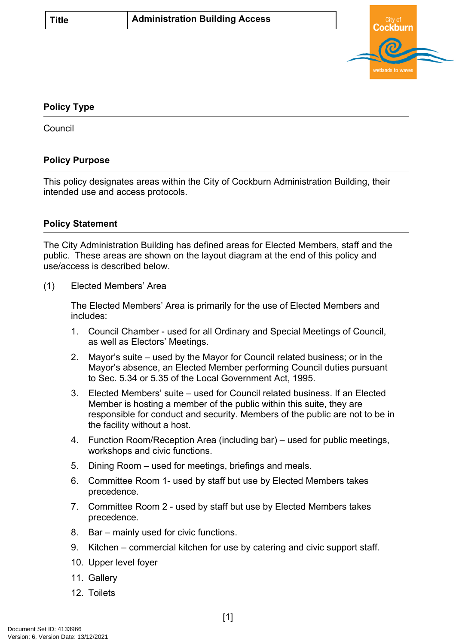

## <span id="page-0-0"></span>**[Policy Type](#page-0-0)**

**Council** 

## **Policy Purpose**

This policy designates areas within the City of Cockburn Administration Building, their intended use and access protocols.

## **Policy Statement**

The City Administration Building has defined areas for Elected Members, staff and the public. These areas are shown on the layout diagram at the end of this policy and use/access is described below.

(1) Elected Members' Area

The Elected Members' Area is primarily for the use of Elected Members and includes:

- 1. Council Chamber used for all Ordinary and Special Meetings of Council, as well as Electors' Meetings.
- 2. Mayor's suite used by the Mayor for Council related business; or in the Mayor's absence, an Elected Member performing Council duties pursuant to Sec. 5.34 or 5.35 of the Local Government Act, 1995.
- 3. Elected Members' suite used for Council related business. If an Elected Member is hosting a member of the public within this suite, they are responsible for conduct and security. Members of the public are not to be in the facility without a host.
- 4. Function Room/Reception Area (including bar) used for public meetings, workshops and civic functions.
- 5. Dining Room used for meetings, briefings and meals.
- 6. Committee Room 1- used by staff but use by Elected Members takes precedence.
- 7. Committee Room 2 used by staff but use by Elected Members takes precedence.
- 8. Bar mainly used for civic functions.
- 9. Kitchen commercial kitchen for use by catering and civic support staff.
- 10. Upper level foyer
- 11. Gallery
- 12. Toilets